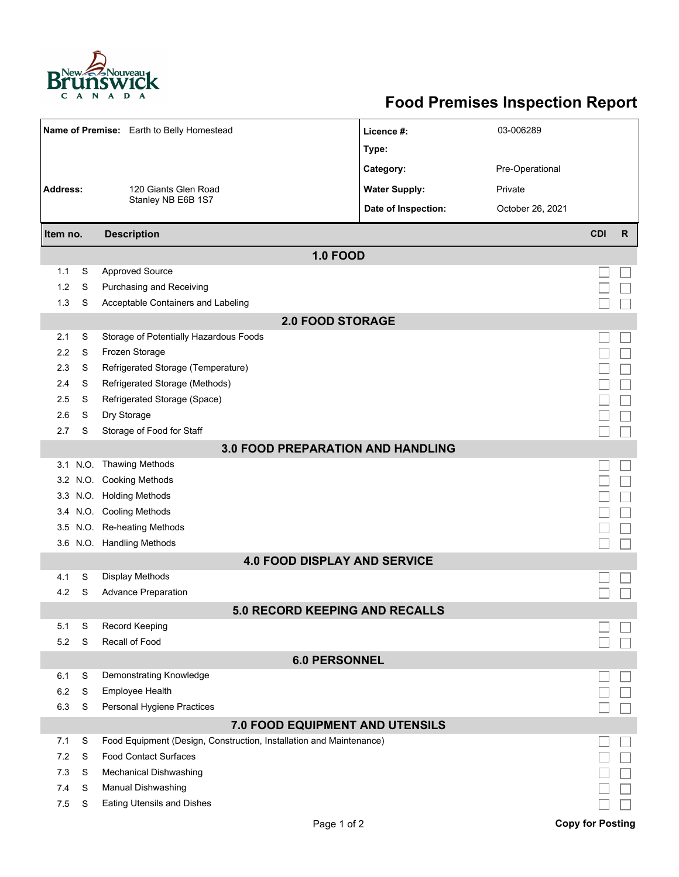

## **Food Premises Inspection Report**

|                                          |   | Name of Premise: Earth to Belly Homestead                           | Licence #:           | 03-006289        |                         |              |  |  |  |  |
|------------------------------------------|---|---------------------------------------------------------------------|----------------------|------------------|-------------------------|--------------|--|--|--|--|
|                                          |   |                                                                     | Type:                |                  |                         |              |  |  |  |  |
|                                          |   |                                                                     | Category:            | Pre-Operational  |                         |              |  |  |  |  |
| <b>Address:</b>                          |   | 120 Giants Glen Road                                                | <b>Water Supply:</b> | Private          |                         |              |  |  |  |  |
|                                          |   | Stanley NB E6B 1S7                                                  |                      |                  |                         |              |  |  |  |  |
|                                          |   |                                                                     | Date of Inspection:  | October 26, 2021 |                         |              |  |  |  |  |
| Item no.                                 |   | <b>Description</b>                                                  |                      |                  | <b>CDI</b>              | $\mathsf{R}$ |  |  |  |  |
|                                          |   | <b>1.0 FOOD</b>                                                     |                      |                  |                         |              |  |  |  |  |
| 1.1                                      | S | <b>Approved Source</b>                                              |                      |                  |                         |              |  |  |  |  |
| 1.2                                      | S | Purchasing and Receiving                                            |                      |                  |                         |              |  |  |  |  |
| 1.3                                      | S | Acceptable Containers and Labeling                                  |                      |                  |                         |              |  |  |  |  |
| <b>2.0 FOOD STORAGE</b>                  |   |                                                                     |                      |                  |                         |              |  |  |  |  |
| 2.1                                      | S | Storage of Potentially Hazardous Foods                              |                      |                  |                         |              |  |  |  |  |
| 2.2                                      | S | Frozen Storage                                                      |                      |                  |                         |              |  |  |  |  |
| 2.3                                      | S | Refrigerated Storage (Temperature)                                  |                      |                  |                         |              |  |  |  |  |
| 2.4                                      | S | Refrigerated Storage (Methods)                                      |                      |                  |                         |              |  |  |  |  |
| 2.5                                      | S | Refrigerated Storage (Space)                                        |                      |                  |                         |              |  |  |  |  |
| 2.6                                      | S | Dry Storage                                                         |                      |                  |                         |              |  |  |  |  |
| 2.7                                      | S | Storage of Food for Staff                                           |                      |                  |                         |              |  |  |  |  |
| <b>3.0 FOOD PREPARATION AND HANDLING</b> |   |                                                                     |                      |                  |                         |              |  |  |  |  |
|                                          |   | 3.1 N.O. Thawing Methods                                            |                      |                  |                         |              |  |  |  |  |
|                                          |   | 3.2 N.O. Cooking Methods                                            |                      |                  |                         |              |  |  |  |  |
|                                          |   | 3.3 N.O. Holding Methods                                            |                      |                  |                         |              |  |  |  |  |
|                                          |   | 3.4 N.O. Cooling Methods                                            |                      |                  |                         |              |  |  |  |  |
| 3.5                                      |   | N.O. Re-heating Methods                                             |                      |                  |                         |              |  |  |  |  |
|                                          |   | 3.6 N.O. Handling Methods                                           |                      |                  |                         |              |  |  |  |  |
|                                          |   | <b>4.0 FOOD DISPLAY AND SERVICE</b>                                 |                      |                  |                         |              |  |  |  |  |
| 4.1                                      | S | Display Methods                                                     |                      |                  |                         |              |  |  |  |  |
| 4.2                                      | S | <b>Advance Preparation</b>                                          |                      |                  |                         |              |  |  |  |  |
|                                          |   | 5.0 RECORD KEEPING AND RECALLS                                      |                      |                  |                         |              |  |  |  |  |
| 5.1                                      | S | <b>Record Keeping</b>                                               |                      |                  |                         |              |  |  |  |  |
| 5.2                                      | S | Recall of Food                                                      |                      |                  |                         |              |  |  |  |  |
| <b>6.0 PERSONNEL</b>                     |   |                                                                     |                      |                  |                         |              |  |  |  |  |
| 6.1                                      | S | Demonstrating Knowledge                                             |                      |                  |                         |              |  |  |  |  |
| 6.2                                      | S | Employee Health                                                     |                      |                  |                         |              |  |  |  |  |
| 6.3                                      | S | Personal Hygiene Practices                                          |                      |                  |                         |              |  |  |  |  |
| 7.0 FOOD EQUIPMENT AND UTENSILS          |   |                                                                     |                      |                  |                         |              |  |  |  |  |
| 7.1                                      | S | Food Equipment (Design, Construction, Installation and Maintenance) |                      |                  |                         |              |  |  |  |  |
| 7.2                                      | S | <b>Food Contact Surfaces</b>                                        |                      |                  |                         |              |  |  |  |  |
| 7.3                                      | S | <b>Mechanical Dishwashing</b>                                       |                      |                  |                         |              |  |  |  |  |
| 7.4                                      | S | Manual Dishwashing                                                  |                      |                  |                         |              |  |  |  |  |
| 7.5                                      | S | <b>Eating Utensils and Dishes</b>                                   |                      |                  |                         |              |  |  |  |  |
|                                          |   | Page 1 of 2                                                         |                      |                  | <b>Copy for Posting</b> |              |  |  |  |  |